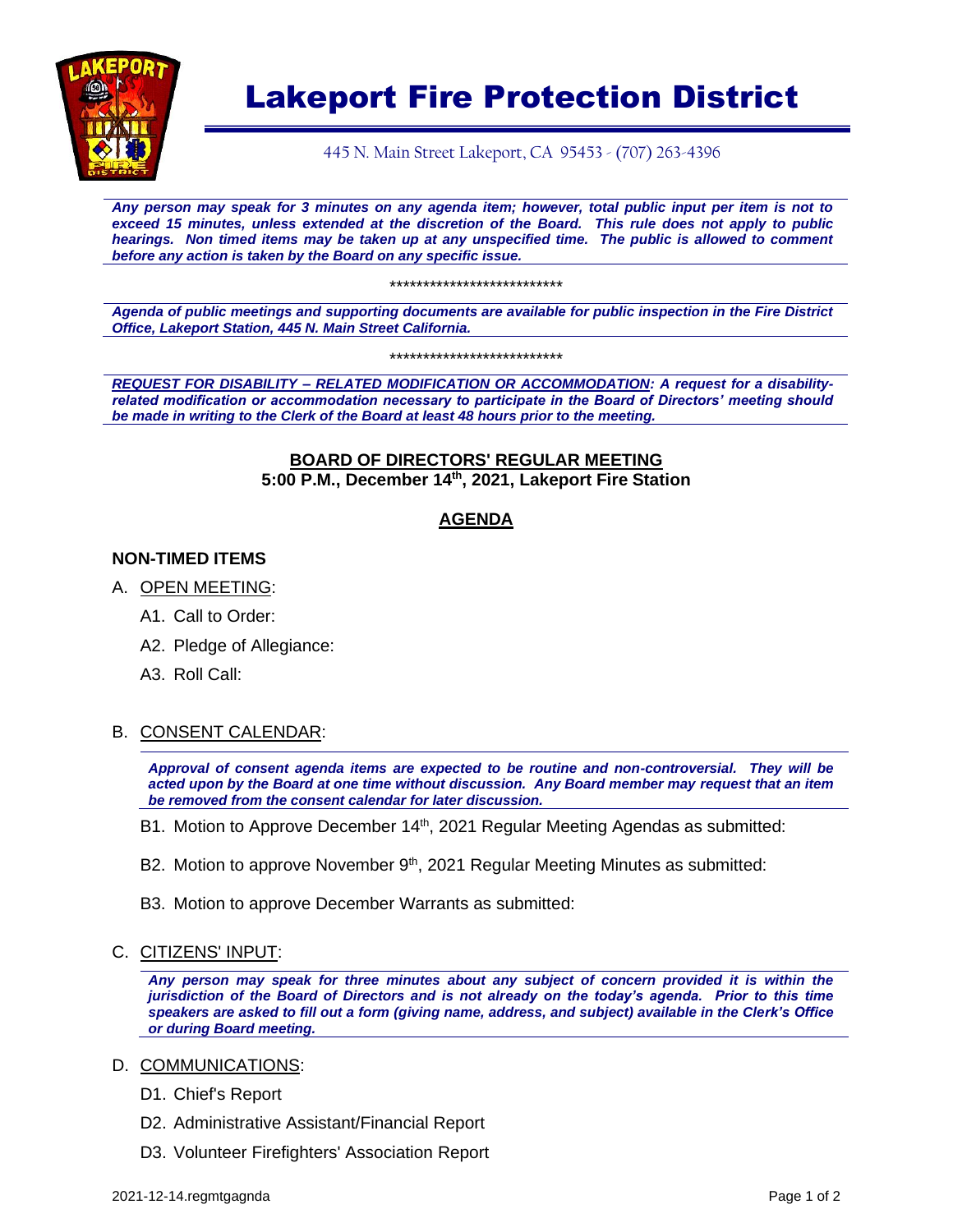

# Lakeport Fire Protection District

445 N. Main Street Lakeport, CA 95453 - (707) 263-4396

*Any person may speak for 3 minutes on any agenda item; however, total public input per item is not to exceed 15 minutes, unless extended at the discretion of the Board. This rule does not apply to public hearings. Non timed items may be taken up at any unspecified time. The public is allowed to comment before any action is taken by the Board on any specific issue.* 

\*\*\*\*\*\*\*\*\*\*\*\*\*\*\*\*\*\*\*\*\*\*\*\*\*\*

*Agenda of public meetings and supporting documents are available for public inspection in the Fire District Office, Lakeport Station, 445 N. Main Street California.*

\*\*\*\*\*\*\*\*\*\*\*\*\*\*\*\*\*\*\*\*\*\*\*\*\*\*

*REQUEST FOR DISABILITY – RELATED MODIFICATION OR ACCOMMODATION: A request for a disabilityrelated modification or accommodation necessary to participate in the Board of Directors' meeting should be made in writing to the Clerk of the Board at least 48 hours prior to the meeting.*

## **BOARD OF DIRECTORS' REGULAR MEETING 5:00 P.M., December 14th, 2021, Lakeport Fire Station**

# **AGENDA**

# **NON-TIMED ITEMS**

- A. OPEN MEETING:
	- A1. Call to Order:
	- A2. Pledge of Allegiance:
	- A3. Roll Call:

#### B. CONSENT CALENDAR:

*Approval of consent agenda items are expected to be routine and non-controversial. They will be acted upon by the Board at one time without discussion. Any Board member may request that an item be removed from the consent calendar for later discussion.*

- B1. Motion to Approve December 14<sup>th</sup>, 2021 Regular Meeting Agendas as submitted:
- B2. Motion to approve November 9<sup>th</sup>, 2021 Regular Meeting Minutes as submitted:
- B3. Motion to approve December Warrants as submitted:
- C. CITIZENS' INPUT:

*Any person may speak for three minutes about any subject of concern provided it is within the jurisdiction of the Board of Directors and is not already on the today's agenda. Prior to this time speakers are asked to fill out a form (giving name, address, and subject) available in the Clerk's Office or during Board meeting.*

#### D. COMMUNICATIONS:

- D1. Chief's Report
- D2. Administrative Assistant/Financial Report
- D3. Volunteer Firefighters' Association Report